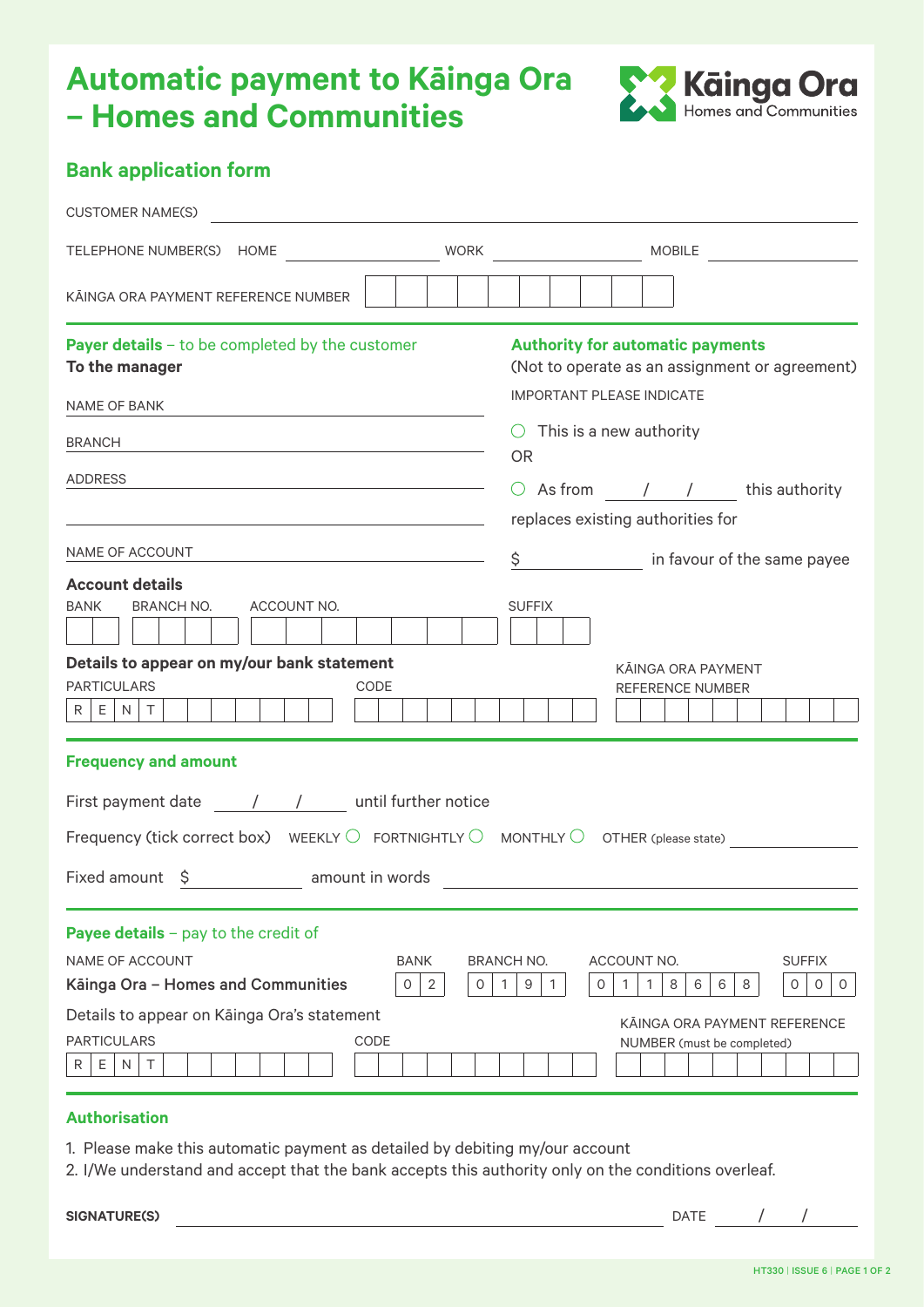## **Automatic payment to Kāinga Ora – Homes and Communities**



|  |  | <b>Bank application form</b> |  |
|--|--|------------------------------|--|
|--|--|------------------------------|--|

| <b>CUSTOMER NAME(S)</b><br><u> 1980 - Jan Samuel Barbara, margaret e</u>                                                                                                                                                           |                       |                                              |                              |                                                                                         |   |                                                |
|------------------------------------------------------------------------------------------------------------------------------------------------------------------------------------------------------------------------------------|-----------------------|----------------------------------------------|------------------------------|-----------------------------------------------------------------------------------------|---|------------------------------------------------|
|                                                                                                                                                                                                                                    |                       |                                              |                              |                                                                                         |   |                                                |
| KĀINGA ORA PAYMENT REFERENCE NUMBER                                                                                                                                                                                                |                       |                                              |                              |                                                                                         |   |                                                |
| Payer details - to be completed by the customer<br>To the manager                                                                                                                                                                  |                       |                                              |                              | <b>Authority for automatic payments</b>                                                 |   | (Not to operate as an assignment or agreement) |
| NAME OF BANK                                                                                                                                                                                                                       |                       | <b>IMPORTANT PLEASE INDICATE</b>             |                              |                                                                                         |   |                                                |
| BRANCH<br><u> 1989 - Johann Stein, mars an de Britannich (b. 1989)</u>                                                                                                                                                             |                       | $\circ$ This is a new authority<br><b>OR</b> |                              |                                                                                         |   |                                                |
| ADDRESS<br><u> 1989 - Johann Barn, fransk politik (d. 1989)</u>                                                                                                                                                                    |                       |                                              |                              | $\circ$ As from $\qquad$ / $\qquad$ this authority<br>replaces existing authorities for |   |                                                |
|                                                                                                                                                                                                                                    |                       |                                              |                              | \$ in favour of the same payee                                                          |   |                                                |
| <b>Account details</b><br>BRANCH NO.<br>ACCOUNT NO.<br><b>BANK</b>                                                                                                                                                                 |                       | <b>SUFFIX</b>                                |                              |                                                                                         |   |                                                |
| Details to appear on my/our bank statement<br><b>PARTICULARS</b><br>CODE<br>$R$ $E$ $N$ $T$                                                                                                                                        |                       |                                              |                              | KĀINGA ORA PAYMENT<br><b>REFERENCE NUMBER</b>                                           |   |                                                |
| <b>Frequency and amount</b>                                                                                                                                                                                                        |                       |                                              |                              |                                                                                         |   |                                                |
| First payment date ______/______________ until further notice                                                                                                                                                                      |                       |                                              |                              |                                                                                         |   |                                                |
| Frequency (tick correct box) WEEKLY $\bigcirc$ FORTNIGHTLY $\bigcirc$ MONTHLY $\bigcirc$ OTHER (please state)                                                                                                                      |                       |                                              |                              |                                                                                         |   |                                                |
|                                                                                                                                                                                                                                    |                       |                                              |                              |                                                                                         |   |                                                |
| <b>Payee details</b> $-$ pay to the credit of<br><b>NAME OF ACCOUNT</b><br>Kāinga Ora - Homes and Communities<br>0                                                                                                                 | <b>BANK</b><br>2<br>0 | <b>BRANCH NO.</b><br>9<br>1<br>1.            | ACCOUNT NO.<br>$\circ$<br>1. | 8<br>6<br>6<br>1                                                                        | 8 | <b>SUFFIX</b><br>$\circ$<br>0<br>0             |
| Details to appear on Kāinga Ora's statement<br><b>PARTICULARS</b><br>CODE<br>Ε<br>N<br>T<br>R                                                                                                                                      |                       |                                              |                              | KAINGA ORA PAYMENT REFERENCE<br>NUMBER (must be completed)                              |   |                                                |
| <b>Authorisation</b><br>1. Please make this automatic payment as detailed by debiting my/our account<br>2. I/We understand and accept that the bank accepts this authority only on the conditions overleaf.<br><b>SIGNATURE(S)</b> |                       |                                              |                              | <b>DATE</b>                                                                             |   |                                                |